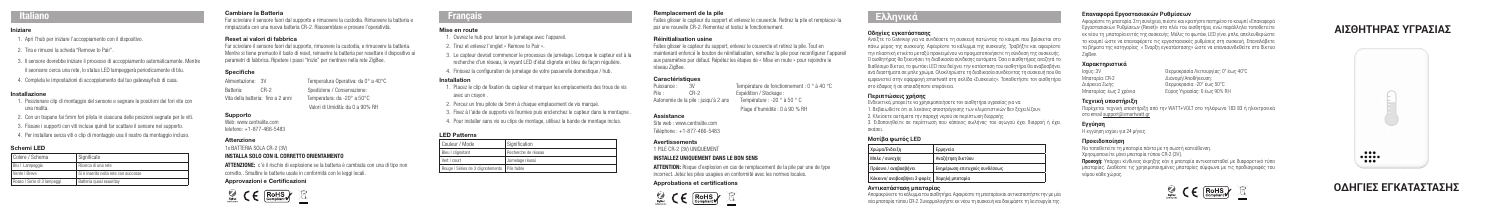# **ΟΔΗΓΙΕΣ ΕΓΚΑΤΑΣΤΑΣΗΣ**

- 1. Apri l'hub per iniziare l'accoppiamento con il dispositivo.
- 2. Tira e rimuovi la scheda "Remove to Pair".
- 3. Il sensore dovrebbe iniziare il processo di accoppiamento automaticamente. Mentre il seonsore cerca una rete, lo status LED lampeggerà periodicamente di blu.
- 4. Completa le impostazioni di accoppiamento dal tuo gateway/hub di casa.

### Installazione

- 1. Posizionare clip di montaggio del sensore e segnare le posizioni dei fori vite con una matita.
- 2. Con un trapano fai 5mm fori pilota in ciascuna delle posizioni segnate per le viti.
- 3. Fissare i supporti con viti incluse quindi far scattare il sensore nel supporto.
- 4. Per installare senza viti o clip di montaggio usa il nastro da montaggio incluso.

# Schemi LED

| Colore / Schema             | Significato                           |
|-----------------------------|---------------------------------------|
| Blu   Lampeggia             | Ricerca di una rete                   |
| Verde   Breve               | Si è inserito nella rete con successo |
| Rosso   Serie di 3 lampeggi | Batteria quasi esauritav              |

# Cambiare la Batteria

Far scivolare il sensore fuori dal supporto e rimuovere la custodia. Rimuovere la batteria e rimpiazzarla con una nuova batteria CR-2. Riassemblare e provare l'operatività.

## Reset ai valori di fabbrica

Far scivolare il sensore fuori dal supporto, rimuovere la custodia, e rimuovere la batteria. Mentre si tiene premuoto il tasto di reset, reinserire la batteria per resettare il dispositivo ai parametri di fabbrica. Ripetere i passi "Inizio" per rientrare nella rete ZigBee.

# Specifiche

Alimentazione: 3V Temperatura Operativa: da 0° a 40°C Batteria: CR-2 Spedizione / Conservazione: Vita della batteria: fino a 2 anni Temperatura: da -20° a 50°C Valori di Umidità: da 0 a 90% RH

# Supporto

Web: www.centralite.com telefono: +1-877-466-5483

# **Attenzione**

1x BATTERIA SOLA CR-2 (3V)

# INSTALLA SOLO CON IL CORRETTO ORIENTAMENTO

ATTENZIONE: c'è il rischio di esplosione se la batteria è cambiata con una di tipo non corretto.. Smaltire le batterie usate in conformità con le leggi locali.

Site web : www.centralite.com Téléphone : +1-877-466-5483

# Approvazioni e Certificazioni



# **Français**

# Italiano

## Mise en route

- 1. Ouvrez le hub pour lancer le jumelage avec l'appareil.
- 2. Tirez et enlevez l'onglet « Remove to Pair ».
- 3. Le capteur devrait commencer le processus de jumelage. Lorsque le capteur est à la recherche d'un réseau, le voyant LED d'état clignote en bleu de façon régulière.
- 4. Finissez la configuration de jumelage de votre passerelle domestique / hub.

## Installation

- 1. Placez le clip de fixation du capteur et marquer les emplacements des trous de vis avec un crayon .
- 2. Percez un trou pilote de 5mm à chaque emplacement de vis marqué.
- 3. Fixez à l'aide de supports vis fournies puis enclenchez le capteur dans la montagne .
- 4. Pour installer sans vis ou clips de montage, utilisez la bande de montage inclus.

# LED Patterns

| Couleur / Mode                                  | Signification       |
|-------------------------------------------------|---------------------|
| Bleu   clignotant                               | Recherche de réseau |
| Vert I court                                    | Jumelage réussi     |
| Rouge   Séries de 3 clignotements   Pile faible |                     |

Timpiazzarla con una nuova batteria CR-2. Riassemblare e provare l'operatività. **Mise en route** Mise en route Mise and and the content of the content of the content of the content of the content of the content of the con Αφαιρέστε τη μπαταρία. Στη συνέχεια, πιέστε και κρατήστε πατημένο το κουμπί «Επαναφορά Εργοστασιακών Ρυθμίσεων (Reset)» στο πλάι του αισθητήρα, ενώ παράλληλα τοποθετείτε εκ νέου τη μπαταρία εντός της συσκευής. Μόλις το φωτάκι LED γίνει μπλε, απελευθερώστε το κουμπί ώστε να επαναφέρετε τις εργοστασιακές ρυθμίσεις στη συσκευή. Επαναλάβετε τα βήματα της κατηγορίας « Έναρξη εγκατάστασης» ώστε να επανασυνδεθείτε στο δίκτυο ZigBee.

# Remplacement de la pile

Faites glisser le capteur du support et enlevez le couvercle. Retirez la pile et remplacez-la par une nouvelle CR-2. Remontez et testez le fonctionnement.

# Réinitialisation usine

Faites glisser le capteur du support, enlevez le couvercle et retirez la pile. Tout en maintenant enfoncé le bouton de réinitialisation, remettez la pile pour reconfigurer l'appareil aux paramètres par défaut. Répétez les étapes de « Mise en route » pour rejoindre le réseau ZigBee.

## **Caractéristiques**

Puissance : 3V Température de fonctionnement : 0 ° à 40 °C<br>
Pile : CR-2 Fxpédition / Stockage : Pile : CR-2 Expédition / Stockage : Autonomie de la pile : jusqu'à 2 ans Température : -20 ° à 50 ° C

Plage d'humidité : 0 à 90 % RH

#### Assistance

#### Avertissements

1 PILE CR-2 (3V) UNIQUEMENT

# INSTALLEZ UNIQUEMENT DANS LE BON SENS

ATTENTION: Risque d'explosion en cas de remplacement de la pile par une de type incorrect. Jetez les piles usagées en conformité avec les normes locales.

# Approbations et certifications



Ανοίξτε το Gateway για να συνδέσετε τη συσκευή πατώντας το κουμπί που βρίσκεται στο πάνω μέρος της συσκευής. Αφαιρέστε το κάλυμμα της συσκευής. Τραβήξτε και αφαιρέστε την πλαστική ετικέτα μεταξύ προκειμένου να πραγματοποιήσετε τη σύνδεση της συσκευής. Ο αισθητήρας θα ξεκινήσει τη διαδικασία σύνδεσης αυτόματα. Όσο ο αισθητήρας αναζητά το διαθέσιμο δίκτυο, το φωτάκι LED που δείχνει την κατάσταση του αισθητήρα θα αναβοσβήνει ανά διαστήματα σε μπλε χρώμα. Ολοκληρώστε τη διαδικασία συνδέοντας τη συσκευή που θα εμφανιστεί στην εφαρμογή smartwatt στη σελίδα «Συσκευές». Τοποθετήστε τον αισθητήρα στο έδαφος ή σε οποιαδήποτε επιφάνεια.

# **Περιπτώσεις χρήσης**

Ενδεικτικά, μπορείτε να χρησιμοποιήσετε τον αισθητήρα υγρασίας για να: 1. Βεβαιωθείτε ότι οι λεκάνες αποστράγγισης των κλιματιστικών δεν ξεχειλίζουν. 2. Κλείσετε αυτόματα την παροχή νερού σε περίπτωση διαρροής.

3. Ειδοποιηθείτε σε περίπτωση που κάποιος σωλήνας του αγωγού έχει διαρροή ή έχει

σκάσει.

Χρώμα/Ένδ

# Μπλε / συ

Πράσινο / Κόκκινο/ α

# **Μοτίβα φωτός LED**

| )ειξη                                | ! Ερμηνεία                    |
|--------------------------------------|-------------------------------|
| εχής                                 | Αναζήτηση δικτύου             |
| ιναβοσβήνει                          | Ενημέρωση επιτυχούς συνδέσεως |
| ναβοσβήνει 3 φορές   Χαμηλή μπαταρία |                               |

### **Αντικατάσταση μπαταρίας**

# **Οδηγίες εγκατάστασης Ελληνικά**

Απομακρύνετε το κάλυμμα του αισθητήρα. Αφαιρέστε τη μπαταρία και αντικαταστήστε την με μία νέα μπαταρία τύπου CR-2. Συναρμολογήστε εκ νέου τη συσκευή και δοκιμάστε τη λειτουργία της.

### **Επαναφορά Εργοστασιακών Ρυθμίσεων**

# **Χαρακτηριστικά**

Ισχύς: 3V Θερμοκρασία Λειτουργίας: 0° έως 40°C Μπαταρία: CR-2 Διανομή/Αποθήκευση: Μπαταρίας: έως 2 χρόνια Εύρος Υγρασίας: 0 έως 90% RH

Διάρκεια Ζωής Θερμοκρασία: -20° έως 50°C

## **Τεχνική υποστήριξη**

Παρέχεται τεχνική υποστήριξη από την WATT+VOLT στο τηλέφωνο 183 83 ή ηλεκτρονικά στο email support@smartwatt.gr

# **Εγγύηση**

Η εγγύηση ισχύει για 24 μήνες.

# **Προειδοποίηση**

Να τοποθετείτε τη μπαταρία πάντα με τη σωστή κατεύθυνση. Χρησιμοποιείτε μόνο μπαταρία τύπου CR-2 (3V). **Προσοχή:** Υπάρχει κίνδυνος έκρηξης εάν η μπαταρία αντικατασταθεί με διαφορετικό τύπο μπαταρίας. Διαθέστε τις χρησιμοποιημένες μπαταρίες σύμφωνα με τις προδιαγραφές του νόμου κάθε χώρας.